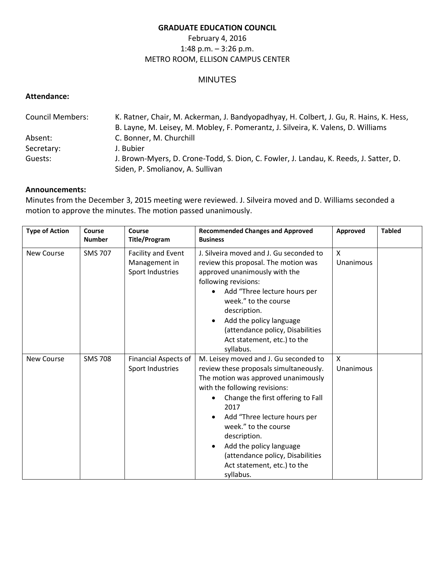## **GRADUATE EDUCATION COUNCIL**

## February 4, 2016 1:48 p.m. – 3:26 p.m. METRO ROOM, ELLISON CAMPUS CENTER

# MINUTES

## **Attendance:**

| <b>Council Members:</b> | K. Ratner, Chair, M. Ackerman, J. Bandyopadhyay, H. Colbert, J. Gu, R. Hains, K. Hess, |  |  |  |
|-------------------------|----------------------------------------------------------------------------------------|--|--|--|
|                         | B. Layne, M. Leisey, M. Mobley, F. Pomerantz, J. Silveira, K. Valens, D. Williams      |  |  |  |
| Absent:                 | C. Bonner, M. Churchill                                                                |  |  |  |
| Secretary:              | J. Bubier                                                                              |  |  |  |
| Guests:                 | J. Brown-Myers, D. Crone-Todd, S. Dion, C. Fowler, J. Landau, K. Reeds, J. Satter, D.  |  |  |  |
|                         | Siden, P. Smolianov, A. Sullivan                                                       |  |  |  |

#### **Announcements:**

Minutes from the December 3, 2015 meeting were reviewed. J. Silveira moved and D. Williams seconded a motion to approve the minutes. The motion passed unanimously.

| <b>Type of Action</b> | Course<br><b>Number</b> | Course<br><b>Title/Program</b>                          | <b>Recommended Changes and Approved</b><br><b>Business</b>                                                                                                                                                                                                                                                                                                                              | Approved       | <b>Tabled</b> |
|-----------------------|-------------------------|---------------------------------------------------------|-----------------------------------------------------------------------------------------------------------------------------------------------------------------------------------------------------------------------------------------------------------------------------------------------------------------------------------------------------------------------------------------|----------------|---------------|
| <b>New Course</b>     | <b>SMS 707</b>          | Facility and Event<br>Management in<br>Sport Industries | J. Silveira moved and J. Gu seconded to<br>review this proposal. The motion was<br>approved unanimously with the<br>following revisions:<br>Add "Three lecture hours per<br>week." to the course<br>description.<br>Add the policy language<br>$\bullet$<br>(attendance policy, Disabilities<br>Act statement, etc.) to the<br>syllabus.                                                | X<br>Unanimous |               |
| <b>New Course</b>     | <b>SMS 708</b>          | <b>Financial Aspects of</b><br>Sport Industries         | M. Leisey moved and J. Gu seconded to<br>review these proposals simultaneously.<br>The motion was approved unanimously<br>with the following revisions:<br>Change the first offering to Fall<br>2017<br>Add "Three lecture hours per<br>week." to the course<br>description.<br>Add the policy language<br>(attendance policy, Disabilities<br>Act statement, etc.) to the<br>syllabus. | X<br>Unanimous |               |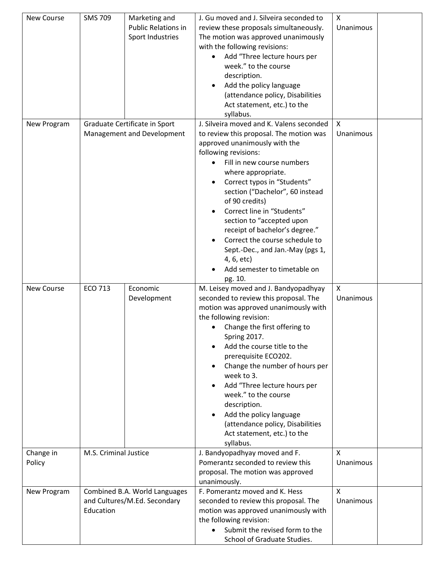| New Course          | <b>SMS 709</b>                                                             | Marketing and<br><b>Public Relations in</b><br>Sport Industries | J. Gu moved and J. Silveira seconded to<br>review these proposals simultaneously.<br>The motion was approved unanimously<br>with the following revisions:<br>Add "Three lecture hours per<br>week." to the course<br>description.<br>Add the policy language<br>(attendance policy, Disabilities<br>Act statement, etc.) to the<br>syllabus.                                                                                                                                                                     | X<br>Unanimous            |  |
|---------------------|----------------------------------------------------------------------------|-----------------------------------------------------------------|------------------------------------------------------------------------------------------------------------------------------------------------------------------------------------------------------------------------------------------------------------------------------------------------------------------------------------------------------------------------------------------------------------------------------------------------------------------------------------------------------------------|---------------------------|--|
| New Program         | Graduate Certificate in Sport<br>Management and Development                |                                                                 | J. Silveira moved and K. Valens seconded<br>to review this proposal. The motion was<br>approved unanimously with the<br>following revisions:<br>Fill in new course numbers<br>where appropriate.<br>Correct typos in "Students"<br>section ("Dachelor", 60 instead<br>of 90 credits)<br>Correct line in "Students"<br>section to "accepted upon<br>receipt of bachelor's degree."<br>Correct the course schedule to<br>Sept.-Dec., and Jan.-May (pgs 1,<br>4, 6, etc)<br>Add semester to timetable on<br>pg. 10. | $\mathsf{X}$<br>Unanimous |  |
| New Course          | <b>ECO 713</b>                                                             | Economic<br>Development                                         | M. Leisey moved and J. Bandyopadhyay<br>seconded to review this proposal. The<br>motion was approved unanimously with<br>the following revision:<br>Change the first offering to<br>Spring 2017.<br>Add the course title to the<br>prerequisite ECO202.<br>Change the number of hours per<br>week to 3.<br>Add "Three lecture hours per<br>week." to the course<br>description.<br>Add the policy language<br>(attendance policy, Disabilities<br>Act statement, etc.) to the<br>syllabus.                       | $\mathsf{x}$<br>Unanimous |  |
| Change in<br>Policy | M.S. Criminal Justice                                                      |                                                                 | J. Bandyopadhyay moved and F.<br>Pomerantz seconded to review this<br>proposal. The motion was approved<br>unanimously.                                                                                                                                                                                                                                                                                                                                                                                          | $\mathsf{x}$<br>Unanimous |  |
| New Program         | Combined B.A. World Languages<br>and Cultures/M.Ed. Secondary<br>Education |                                                                 | F. Pomerantz moved and K. Hess<br>seconded to review this proposal. The<br>motion was approved unanimously with<br>the following revision:<br>Submit the revised form to the<br>School of Graduate Studies.                                                                                                                                                                                                                                                                                                      | $\mathsf{x}$<br>Unanimous |  |